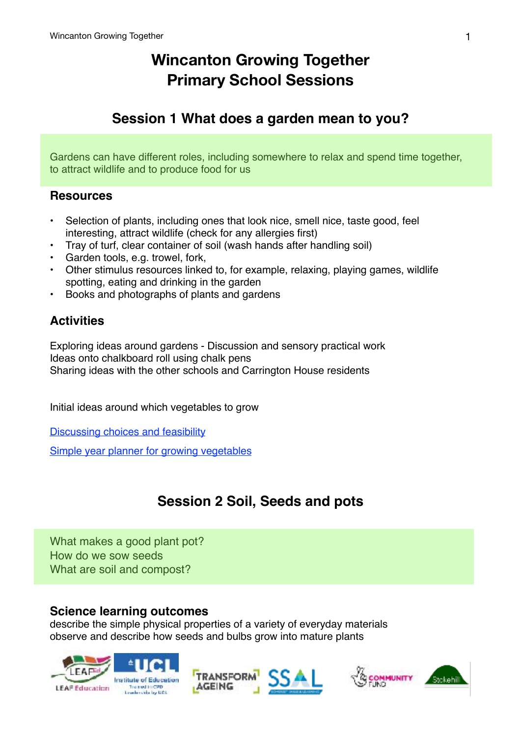# **Wincanton Growing Together Primary School Sessions**

# **Session 1 What does a garden mean to you?**

Gardens can have different roles, including somewhere to relax and spend time together, to attract wildlife and to produce food for us

### **Resources**

- Selection of plants, including ones that look nice, smell nice, taste good, feel interesting, attract wildlife (check for any allergies first)
- Tray of turf, clear container of soil (wash hands after handling soil)
- Garden tools, e.g. trowel, fork,
- Other stimulus resources linked to, for example, relaxing, playing games, wildlife spotting, eating and drinking in the garden
- Books and photographs of plants and gardens

# **Activities**

Exploring ideas around gardens - Discussion and sensory practical work Ideas onto chalkboard roll using chalk pens Sharing ideas with the other schools and Carrington House residents

Initial ideas around which vegetables to grow

[Discussing choices and feasibility](https://schoolgardening.rhs.org.uk/Resources/Activity/What-shall-we-grow)

[Simple year planner for growing vegetables](https://www.rhs.org.uk/advice/pdfs/gyo/vegplanner)

# **Session 2 Soil, Seeds and pots**

What makes a good plant pot? How do we sow seeds What are soil and compost?

## **Science learning outcomes**

describe the simple physical properties of a variety of everyday materials observe and describe how seeds and bulbs grow into mature plants





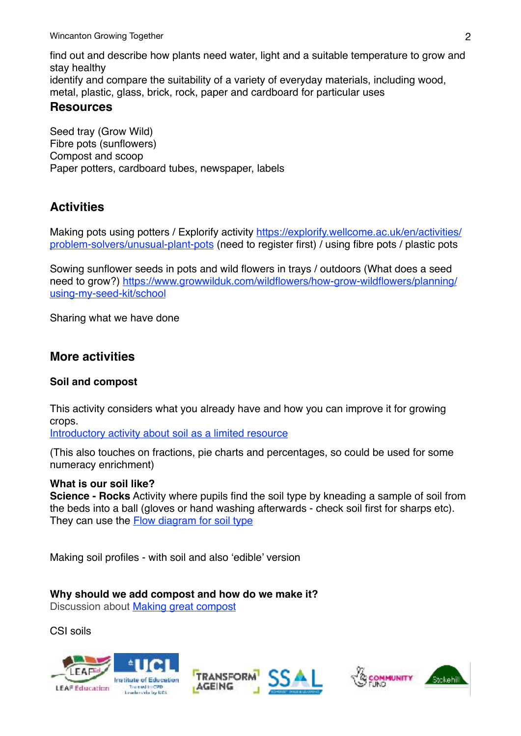find out and describe how plants need water, light and a suitable temperature to grow and stay healthy identify and compare the suitability of a variety of everyday materials, including wood, metal, plastic, glass, brick, rock, paper and cardboard for particular uses **Resources**

Seed tray (Grow Wild) Fibre pots (sunflowers) Compost and scoop Paper potters, cardboard tubes, newspaper, labels

# **Activities**

Making pots using potters / Explorify activity [https://explorify.wellcome.ac.uk/en/activities/](https://explorify.wellcome.ac.uk/en/activities/problem-solvers/unusual-plant-pots) [problem-solvers/unusual-plant-pots](https://explorify.wellcome.ac.uk/en/activities/problem-solvers/unusual-plant-pots) (need to register first) / using fibre pots / plastic pots

Sowing sunflower seeds in pots and wild flowers in trays / outdoors (What does a seed [need to grow?\) https://www.growwilduk.com/wildflowers/how-grow-wildflowers/planning/](https://www.growwilduk.com/wildflowers/how-grow-wildflowers/planning/using-my-seed-kit/school) [using-my-seed-kit/school](https://www.growwilduk.com/wildflowers/how-grow-wildflowers/planning/using-my-seed-kit/school)

Sharing what we have done

## **More activities**

#### **Soil and compost**

This activity considers what you already have and how you can improve it for growing crops.

[Introductory activity about soil as a limited resource](https://schoolgardening.rhs.org.uk/Resources/Activity/How-Much-Soil?returnUrl=/Resources/Find-a-resource?so=0&pi=10&ps=10&f=2,1:1,1:&page=2)

(This also touches on fractions, pie charts and percentages, so could be used for some numeracy enrichment)

#### **What is our soil like?**

**Science - Rocks** Activity where pupils find the soil type by kneading a sample of soil from the beds into a ball (gloves or hand washing afterwards - check soil first for sharps etc). They can use the **Flow diagram for soil type** 

Making soil profiles - with soil and also 'edible' version

**Why should we add compost and how do we make it?** 

Discussion about [Making great compost](https://schoolgardening.rhs.org.uk/Resources/Activity/Make-great-compost-game?returnUrl=/Resources/Find-a-resource?so=0&pi=10&ps=10&f=2,1:1,1:&page=2)

CSI soils





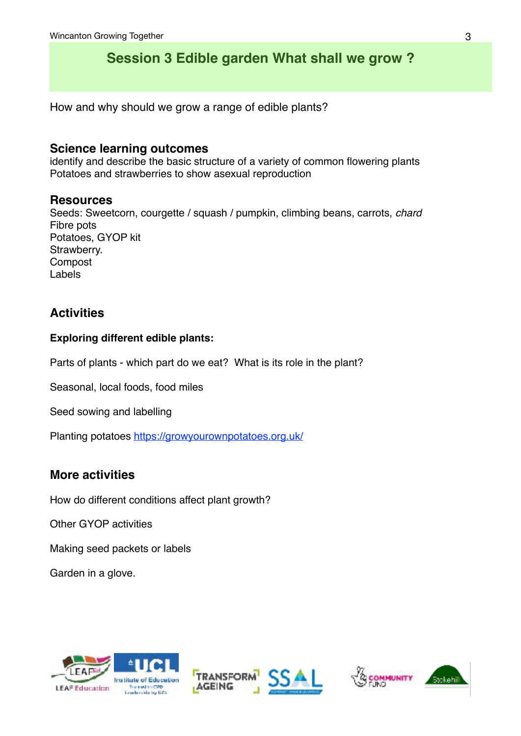# **Session 3 Edible garden What shall we grow ?**

How and why should we grow a range of edible plants?

### **Science learning outcomes**

identify and describe the basic structure of a variety of common flowering plants Potatoes and strawberries to show asexual reproduction

#### **Resources**

Seeds: Sweetcorn, courgette / squash / pumpkin, climbing beans, carrots, *chard*  Fibre pots Potatoes, GYOP kit Strawberry. Compost Labels

# **Activities**

#### **Exploring different edible plants:**

Parts of plants - which part do we eat? What is its role in the plant?

Seasonal, local foods, food miles

Seed sowing and labelling

Planting potatoes<https://growyourownpotatoes.org.uk/>

## **More activities**

How do different conditions affect plant growth?

Other GYOP activities

Making seed packets or labels

Garden in a glove.





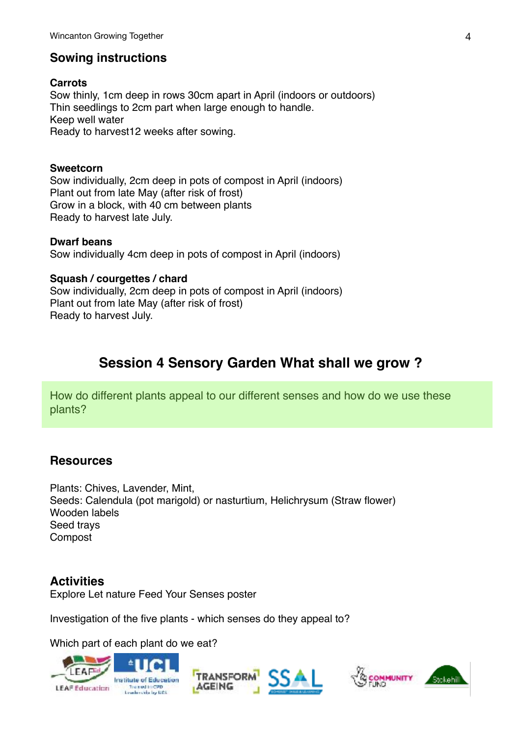## **Sowing instructions**

**Carrots** Sow thinly, 1cm deep in rows 30cm apart in April (indoors or outdoors) Thin seedlings to 2cm part when large enough to handle. Keep well water Ready to harvest12 weeks after sowing.

#### **Sweetcorn**

Sow individually, 2cm deep in pots of compost in April (indoors) Plant out from late May (after risk of frost) Grow in a block, with 40 cm between plants Ready to harvest late July.

#### **Dwarf beans**

Sow individually 4cm deep in pots of compost in April (indoors)

#### **Squash / courgettes / chard**

Sow individually, 2cm deep in pots of compost in April (indoors) Plant out from late May (after risk of frost) Ready to harvest July.

# **Session 4 Sensory Garden What shall we grow ?**

How do different plants appeal to our different senses and how do we use these plants?

#### **Resources**

Plants: Chives, Lavender, Mint, Seeds: Calendula (pot marigold) or nasturtium, Helichrysum (Straw flower) Wooden labels Seed trays Compost

#### **Activities**

Explore Let nature Feed Your Senses poster

Investigation of the five plants - which senses do they appeal to?

Which part of each plant do we eat?





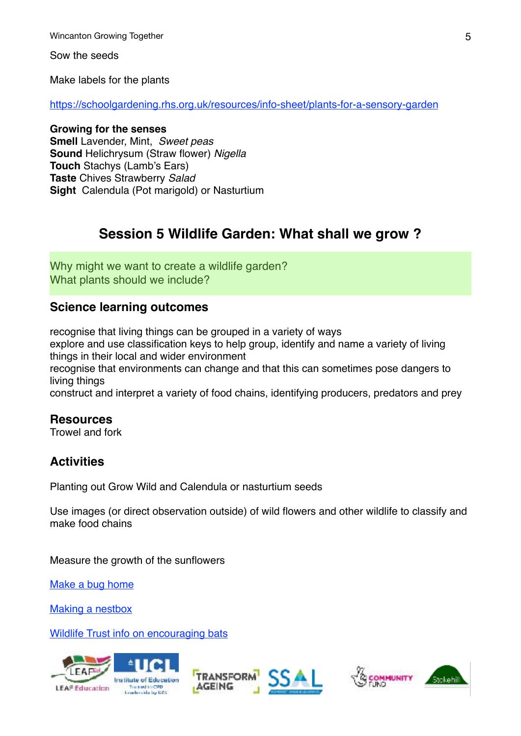Wincanton Growing Together 5 and the state of the state of the state of the state of the state of the state of the state of the state of the state of the state of the state of the state of the state of the state of the sta

Sow the seeds

Make labels for the plants

<https://schoolgardening.rhs.org.uk/resources/info-sheet/plants-for-a-sensory-garden>

### **Growing for the senses**

**Smell** Lavender, Mint, *Sweet peas* **Sound** Helichrysum (Straw flower) *Nigella* **Touch** Stachys (Lamb's Ears) **Taste** Chives Strawberry *Salad* **Sight** Calendula (Pot marigold) or Nasturtium

# **Session 5 Wildlife Garden: What shall we grow ?**

Why might we want to create a wildlife garden? What plants should we include?

## **Science learning outcomes**

recognise that living things can be grouped in a variety of ways explore and use classification keys to help group, identify and name a variety of living things in their local and wider environment recognise that environments can change and that this can sometimes pose dangers to living things construct and interpret a variety of food chains, identifying producers, predators and prey

#### **Resources**

Trowel and fork

# **Activities**

Planting out Grow Wild and Calendula or nasturtium seeds

Use images (or direct observation outside) of wild flowers and other wildlife to classify and make food chains

Measure the growth of the sunflowers

[Make a bug home](https://schoolgardening.rhs.org.uk/Resources/Activity/Make-a-simple-bug-or-ladybird-home?returnUrl=/Resources/Find-a-resource?so=0&pi=10&ps=10&f=2,8:1,1:&page=2)

[Making a nestbox](https://www.rspb.org.uk/Images/Nestbox%20pdf_tcm9-173857.pdf)

[Wildlife Trust info on encouraging bats](http://www.wildaboutgardensweek.org.uk/Downloads/wag-stars-of-the-night.pdf)